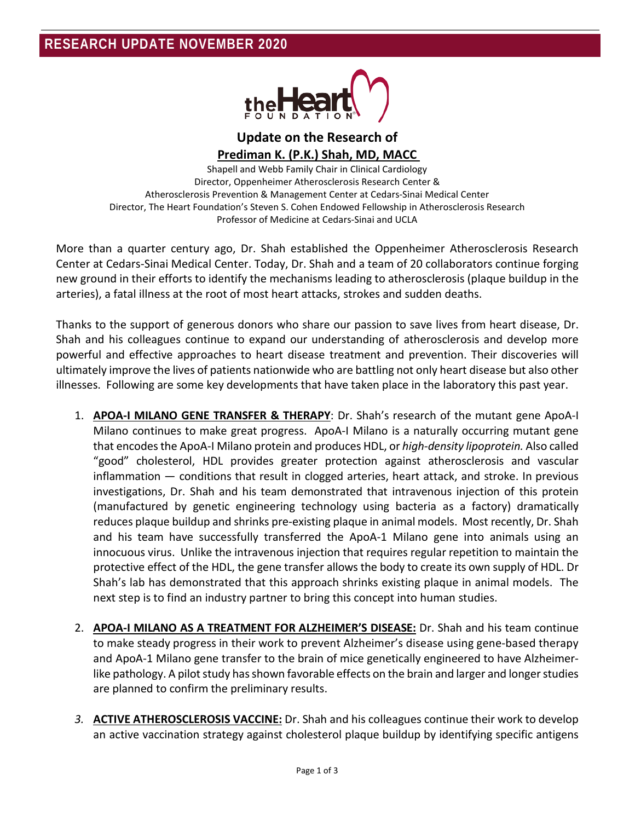

**Update on the Research of Prediman K. (P.K.) Shah, MD, MACC** 

Shapell and Webb Family Chair in Clinical Cardiology Director, Oppenheimer Atherosclerosis Research Center & Atherosclerosis Prevention & Management Center at Cedars-Sinai Medical Center Director, The Heart Foundation's Steven S. Cohen Endowed Fellowship in Atherosclerosis Research Professor of Medicine at Cedars-Sinai and UCLA

More than a quarter century ago, Dr. Shah established the Oppenheimer Atherosclerosis Research Center at Cedars-Sinai Medical Center. Today, Dr. Shah and a team of 20 collaborators continue forging new ground in their efforts to identify the mechanisms leading to atherosclerosis (plaque buildup in the arteries), a fatal illness at the root of most heart attacks, strokes and sudden deaths.

Thanks to the support of generous donors who share our passion to save lives from heart disease, Dr. Shah and his colleagues continue to expand our understanding of atherosclerosis and develop more powerful and effective approaches to heart disease treatment and prevention. Their discoveries will ultimately improve the lives of patients nationwide who are battling not only heart disease but also other illnesses. Following are some key developments that have taken place in the laboratory this past year.

- 1. **APOA-I MILANO GENE TRANSFER & THERAPY**: Dr. Shah's research of the mutant gene ApoA-I Milano continues to make great progress. ApoA-I Milano is a naturally occurring mutant gene that encodesthe ApoA-I Milano protein and produces HDL, or *high-density lipoprotein.* Also called "good" cholesterol, HDL provides greater protection against atherosclerosis and vascular inflammation — conditions that result in clogged arteries, heart attack, and stroke. In previous investigations, Dr. Shah and his team demonstrated that intravenous injection of this protein (manufactured by genetic engineering technology using bacteria as a factory) dramatically reduces plaque buildup and shrinks pre-existing plaque in animal models. Most recently, Dr. Shah and his team have successfully transferred the ApoA-1 Milano gene into animals using an innocuous virus. Unlike the intravenous injection that requires regular repetition to maintain the protective effect of the HDL, the gene transfer allows the body to create its own supply of HDL. Dr Shah's lab has demonstrated that this approach shrinks existing plaque in animal models. The next step is to find an industry partner to bring this concept into human studies.
- 2. **APOA-I MILANO AS A TREATMENT FOR ALZHEIMER'S DISEASE:** Dr. Shah and his team continue to make steady progress in their work to prevent Alzheimer's disease using gene-based therapy and ApoA-1 Milano gene transfer to the brain of mice genetically engineered to have Alzheimerlike pathology. A pilot study has shown favorable effects on the brain and larger and longer studies are planned to confirm the preliminary results.
- *3.* **ACTIVE ATHEROSCLEROSIS VACCINE:** Dr. Shah and his colleagues continue their work to develop an active vaccination strategy against cholesterol plaque buildup by identifying specific antigens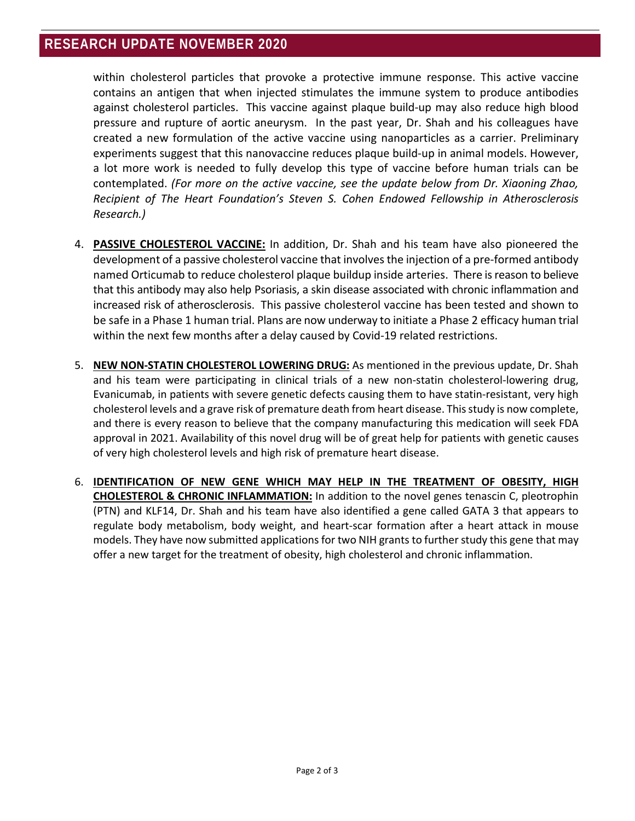within cholesterol particles that provoke a protective immune response. This active vaccine contains an antigen that when injected stimulates the immune system to produce antibodies against cholesterol particles. This vaccine against plaque build-up may also reduce high blood pressure and rupture of aortic aneurysm. In the past year, Dr. Shah and his colleagues have created a new formulation of the active vaccine using nanoparticles as a carrier. Preliminary experiments suggest that this nanovaccine reduces plaque build-up in animal models. However, a lot more work is needed to fully develop this type of vaccine before human trials can be contemplated. *(For more on the active vaccine, see the update below from Dr. Xiaoning Zhao, Recipient of The Heart Foundation's Steven S. Cohen Endowed Fellowship in Atherosclerosis Research.)*

- 4. **PASSIVE CHOLESTEROL VACCINE:** In addition, Dr. Shah and his team have also pioneered the development of a passive cholesterol vaccine that involves the injection of a pre-formed antibody named Orticumab to reduce cholesterol plaque buildup inside arteries. There is reason to believe that this antibody may also help Psoriasis, a skin disease associated with chronic inflammation and increased risk of atherosclerosis. This passive cholesterol vaccine has been tested and shown to be safe in a Phase 1 human trial. Plans are now underway to initiate a Phase 2 efficacy human trial within the next few months after a delay caused by Covid-19 related restrictions.
- 5. **NEW NON-STATIN CHOLESTEROL LOWERING DRUG:** As mentioned in the previous update, Dr. Shah and his team were participating in clinical trials of a new non-statin cholesterol-lowering drug, Evanicumab, in patients with severe genetic defects causing them to have statin-resistant, very high cholesterol levels and a grave risk of premature death from heart disease. This study is now complete, and there is every reason to believe that the company manufacturing this medication will seek FDA approval in 2021. Availability of this novel drug will be of great help for patients with genetic causes of very high cholesterol levels and high risk of premature heart disease.
- 6. **IDENTIFICATION OF NEW GENE WHICH MAY HELP IN THE TREATMENT OF OBESITY, HIGH CHOLESTEROL & CHRONIC INFLAMMATION:** In addition to the novel genes tenascin C, pleotrophin (PTN) and KLF14, Dr. Shah and his team have also identified a gene called GATA 3 that appears to regulate body metabolism, body weight, and heart-scar formation after a heart attack in mouse models. They have now submitted applications for two NIH grants to further study this gene that may offer a new target for the treatment of obesity, high cholesterol and chronic inflammation.